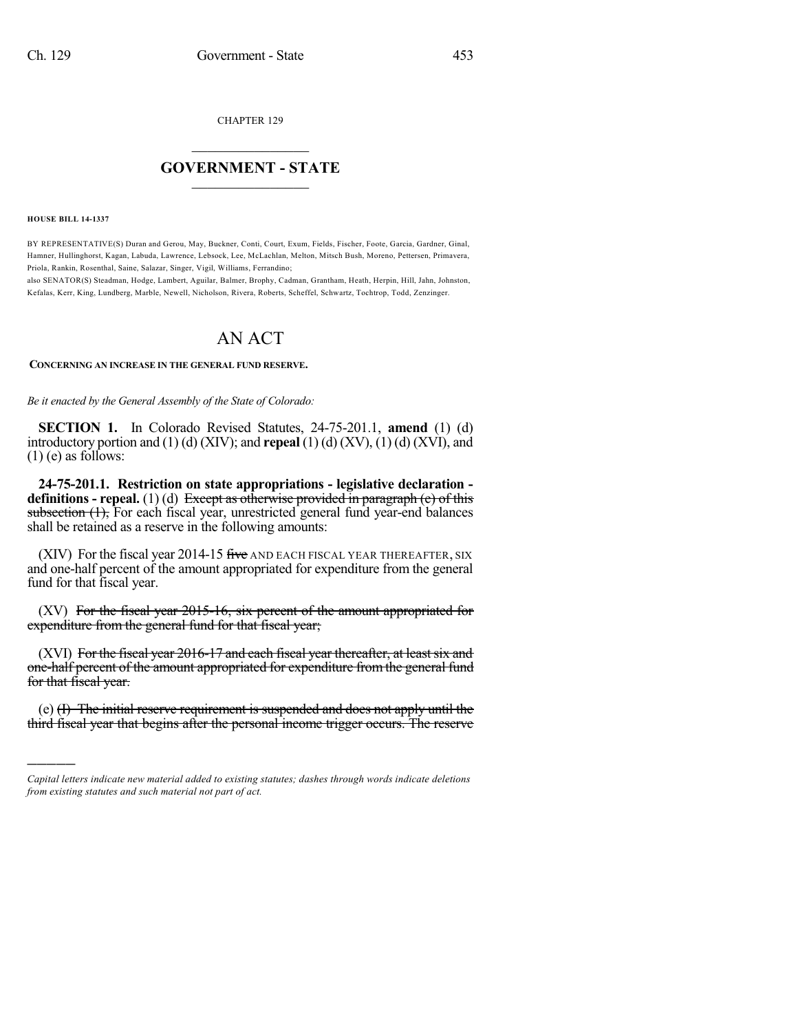CHAPTER 129

## $\overline{\phantom{a}}$  . The set of the set of the set of the set of the set of the set of the set of the set of the set of the set of the set of the set of the set of the set of the set of the set of the set of the set of the set o **GOVERNMENT - STATE**  $\_$

**HOUSE BILL 14-1337**

)))))

BY REPRESENTATIVE(S) Duran and Gerou, May, Buckner, Conti, Court, Exum, Fields, Fischer, Foote, Garcia, Gardner, Ginal, Hamner, Hullinghorst, Kagan, Labuda, Lawrence, Lebsock, Lee, McLachlan, Melton, Mitsch Bush, Moreno, Pettersen, Primavera, Priola, Rankin, Rosenthal, Saine, Salazar, Singer, Vigil, Williams, Ferrandino;

also SENATOR(S) Steadman, Hodge, Lambert, Aguilar, Balmer, Brophy, Cadman, Grantham, Heath, Herpin, Hill, Jahn, Johnston, Kefalas, Kerr, King, Lundberg, Marble, Newell, Nicholson, Rivera, Roberts, Scheffel, Schwartz, Tochtrop, Todd, Zenzinger.

## AN ACT

**CONCERNING AN INCREASE IN THE GENERAL FUND RESERVE.**

*Be it enacted by the General Assembly of the State of Colorado:*

**SECTION 1.** In Colorado Revised Statutes, 24-75-201.1, **amend** (1) (d) introductory portion and (1) (d) (XIV); and **repeal** (1) (d) (XV), (1) (d) (XVI), and  $(1)$  (e) as follows:

**24-75-201.1. Restriction on state appropriations - legislative declaration definitions - repeal.** (1) (d) Except as otherwise provided in paragraph (e) of this subsection (1), For each fiscal year, unrestricted general fund year-end balances shall be retained as a reserve in the following amounts:

(XIV) For the fiscal year 2014-15 five AND EACH FISCAL YEAR THEREAFTER, SIX and one-half percent of the amount appropriated for expenditure from the general fund for that fiscal year.

(XV) For the fiscal year 2015-16, six percent of the amount appropriated for expenditure from the general fund for that fiscal year;

(XVI) For the fiscal year 2016-17 and each fiscal year thereafter, at least six and one-half percent of the amount appropriated for expenditure from the general fund for that fiscal year.

(e) (I) The initial reserve requirement is suspended and does not apply until the third fiscal year that begins after the personal income trigger occurs. The reserve

*Capital letters indicate new material added to existing statutes; dashes through words indicate deletions from existing statutes and such material not part of act.*